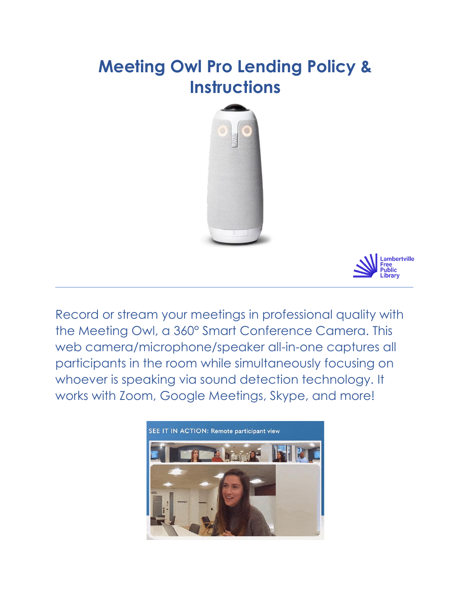# **Meeting Owl Pro Lending Policy & Instructions**





Record or stream your meetings in professional quality with the Meeting Owl, a 360° Smart Conference Camera. This web camera/microphone/speaker all-in-one captures all participants in the room while simultaneously focusing on whoever is speaking via sound detection technology. It works with Zoom, Google Meetings, Skype, and more!